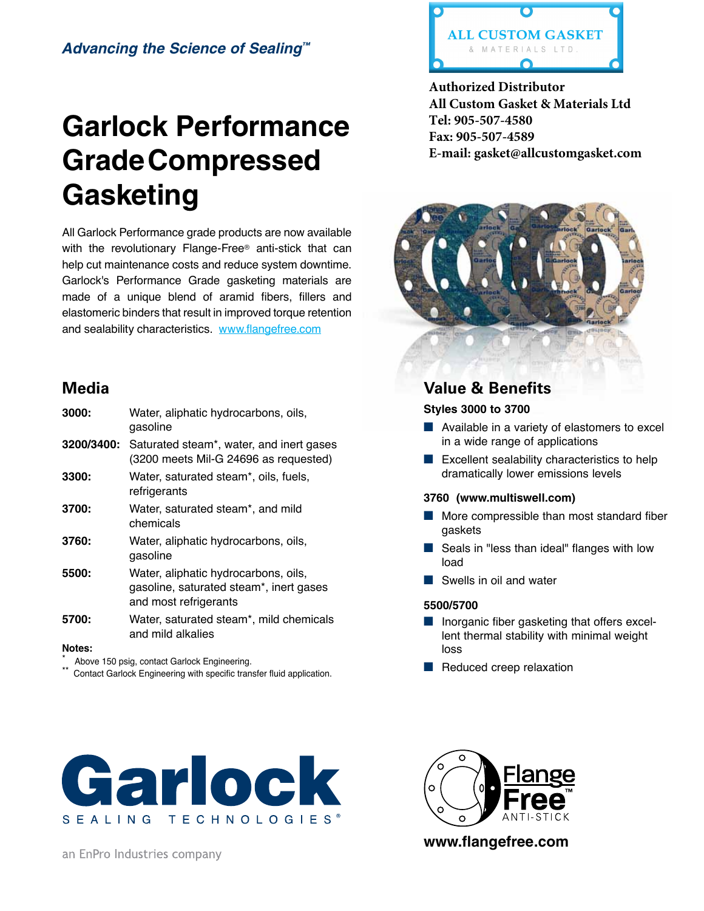## *Advancing the Science of Sealing™*

# **Garlock Performance GradeCompressed Gasketing**

All Garlock Performance grade products are now available with the revolutionary Flange-Free® anti-stick that can help cut maintenance costs and reduce system downtime. Garlock's Performance Grade gasketing materials are made of a unique blend of aramid fibers, fillers and elastomeric binders that result in improved torque retention and sealability characteristics. www.flangefree.com

# **Media**

| 3000:         | Water, aliphatic hydrocarbons, oils,<br>gasoline                                                         |
|---------------|----------------------------------------------------------------------------------------------------------|
| 3200/3400:    | Saturated steam <sup>*</sup> , water, and inert gases<br>(3200 meets Mil-G 24696 as requested)           |
| 3300:         | Water, saturated steam*, oils, fuels,<br>refrigerants                                                    |
| 3700:         | Water, saturated steam*, and mild<br>chemicals                                                           |
| 3760:         | Water, aliphatic hydrocarbons, oils,<br>gasoline                                                         |
| 5500:         | Water, aliphatic hydrocarbons, oils,<br>gasoline, saturated steam*, inert gases<br>and most refrigerants |
| 5700:         | Water, saturated steam*, mild chemicals<br>and mild alkalies                                             |
| <b>Matas.</b> |                                                                                                          |

#### **Notes:**

Above 150 psig, contact Garlock Engineering.

Contact Garlock Engineering with specific transfer fluid application.



an EnPro Industries company



**Authorized Distributor All Custom Gasket & Materials Ltd Tel: 905-507-4580 Fax: 905-507-4589 E-mail: gasket@allcustomgasket.com**



## **Value & Benefits**

**Styles 3000 to 3700** 

- Available in a variety of elastomers to excel in a wide range of applications
- Excellent sealability characteristics to help dramatically lower emissions levels

## **3760 (www.multiswell.com)**

- More compressible than most standard fiber gaskets
- Seals in "less than ideal" flanges with low load
- Swells in oil and water

## **5500/5700**

- Inorganic fiber gasketing that offers excellent thermal stability with minimal weight loss
- Reduced creep relaxation